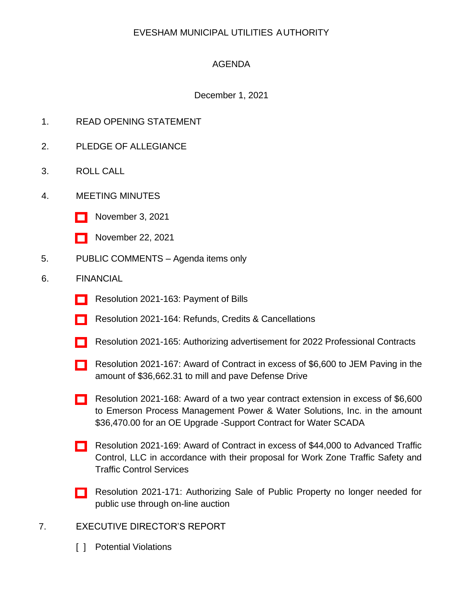# EVESHAM MUNICIPAL UTILITIES AUTHORITY

# AGENDA

## December 1, 2021

- 1. READ OPENING STATEMENT
- 2. PLEDGE OF ALLEGIANCE
- 3. ROLL CALL
- 4. MEETING MINUTES
	- [\[ \]](http://www.eveshammua.com/wp-content/uploads/2021/11/minutes-11-3-2021.pdf) November 3, 2021
	- [\[ \]](http://www.eveshammua.com/wp-content/uploads/2021/12/minutes-11-22-2021.pdf) November 22, 2021
- 5. PUBLIC COMMENTS Agenda items only

#### 6. FINANCIAL

- [\[ \]](http://www.eveshammua.com/wp-content/uploads/2021/12/Resolution-2021-163-November-Bill-List.pdf) Resolution 2021-163: Payment of Bills
- [] Resolution 2021-164: Refunds, Credits & Cancellations
- [\[ \]](http://www.eveshammua.com/wp-content/uploads/2021/11/Resolution-2021-165-Authorize-advertisement-for-Professional-Services.pdf) Resolution 2021-165: Authorizing advertisement for 2022 Professional Contracts
- [\[ \]](http://www.eveshammua.com/wp-content/uploads/2021/11/Resolution-2021-167-JEM-Paving.pdf) Resolution 2021-167: Award of Contract in excess of \$6,600 to JEM Paving in the amount of \$36,662.31 to mill and pave Defense Drive
- [\[ \]](http://www.eveshammua.com/wp-content/uploads/2021/11/Resolution-2021-168-Contract-Extension-Emerson.pdf) Resolution 2021-168: Award of a two year contract extension in excess of \$6,600 to Emerson Process Management Power & Water Solutions, Inc. in the amount \$36,470.00 for an OE Upgrade -Support Contract for Water SCADA
- [\[ \]](http://www.eveshammua.com/wp-content/uploads/2021/11/Resolution-2021-169-Advanced-Traffic-Control-.pdf) Resolution 2021-169: Award of Contract in excess of \$44,000 to Advanced Traffic Control, LLC in accordance with their proposal for Work Zone Traffic Safety and Traffic Control Services
- [\[ \]](http://www.eveshammua.com/wp-content/uploads/2021/12/Resolution-2021-171-Authorize-Sale-Municibid.pdf) Resolution 2021-171: Authorizing Sale of Public Property no longer needed for public use through on-line auction
- 7. EXECUTIVE DIRECTOR'S REPORT
	- [ ] Potential Violations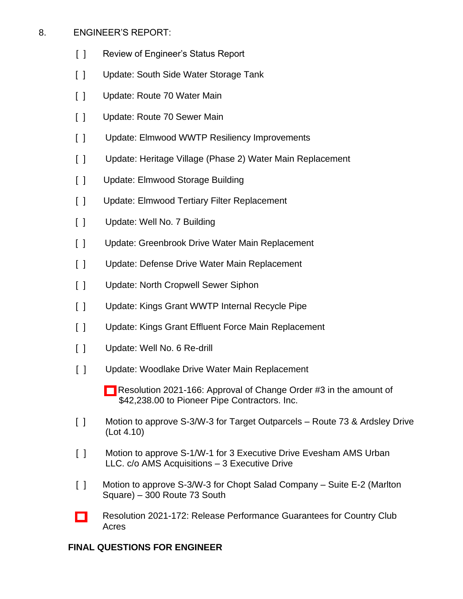## 8. ENGINEER'S REPORT:

- [ ] Review of Engineer's Status Report
- [ ] Update: South Side Water Storage Tank
- [ ] Update: Route 70 Water Main
- [ ] Update: Route 70 Sewer Main
- [ ] Update: Elmwood WWTP Resiliency Improvements
- [ ] Update: Heritage Village (Phase 2) Water Main Replacement
- [ ] Update: Elmwood Storage Building
- [ ] Update: Elmwood Tertiary Filter Replacement
- [ ] Update: Well No. 7 Building
- [ ] Update: Greenbrook Drive Water Main Replacement
- [ ] Update: Defense Drive Water Main Replacement
- [ ] Update: North Cropwell Sewer Siphon
- [ ] Update: Kings Grant WWTP Internal Recycle Pipe
- [ ] Update: Kings Grant Effluent Force Main Replacement
- [ ] Update: Well No. 6 Re-drill
- [ ] Update: Woodlake Drive Water Main Replacement
	- [] Resolution 2021-166: Approval of Change Order #3 in the amount of \$42,238.00 to Pioneer Pipe Contractors. Inc.
- [ ] Motion to approve S-3/W-3 for Target Outparcels Route 73 & Ardsley Drive (Lot 4.10)
- [ ] Motion to approve S-1/W-1 for 3 Executive Drive Evesham AMS Urban LLC. c/o AMS Acquisitions – 3 Executive Drive
- [ ] Motion to approve S-3/W-3 for Chopt Salad Company Suite E-2 (Marlton Square) – 300 Route 73 South
- [\[ \]](http://www.eveshammua.com/wp-content/uploads/2021/12/Resolution-2021-172-Release-of-Performance-Bond-Contingent-upon-posting-maintenance-bonds-for-single-utility-Country-Club-Acres.pdf) Resolution 2021-172: Release Performance Guarantees for Country Club Acres

## **FINAL QUESTIONS FOR ENGINEER**